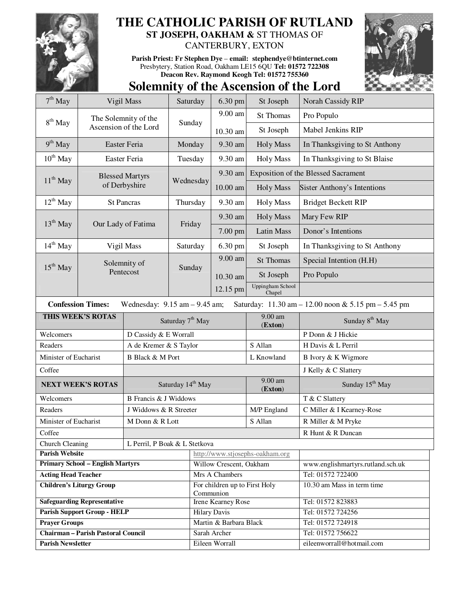

## **THE CATHOLIC PARISH OF RUTLAND**

**ST JOSEPH, OAKHAM &** ST THOMAS OF CANTERBURY, EXTON

**Parish Priest: Fr Stephen Dye** – **email: stephendye@btinternet.com** Presbytery, Station Road, Oakham LE15 6QU **Tel: 01572 722308 Deacon Rev. Raymond Keogh Tel: 01572 755360** 



## **Solemnity of the Ascension of the Lord**

| $7th$ May                                                                                                            | Vigil Mass                                    |                               | Saturday                     | 6.30 pm                                    | St Joseph                  | Norah Cassidy RIP                          |  |
|----------------------------------------------------------------------------------------------------------------------|-----------------------------------------------|-------------------------------|------------------------------|--------------------------------------------|----------------------------|--------------------------------------------|--|
|                                                                                                                      | The Solemnity of the<br>Ascension of the Lord |                               | Sunday                       | 9.00 am                                    | <b>St Thomas</b>           | Pro Populo                                 |  |
| $8th$ May                                                                                                            |                                               |                               |                              | 10.30 am                                   | St Joseph                  | Mabel Jenkins RIP                          |  |
| $9th$ May                                                                                                            | Easter Feria                                  |                               | Monday                       | 9.30 am                                    | <b>Holy Mass</b>           | In Thanksgiving to St Anthony              |  |
| $10^{th}$ May                                                                                                        | Easter Feria                                  |                               | Tuesday                      | 9.30 am                                    | <b>Holy Mass</b>           | In Thanksgiving to St Blaise               |  |
| $11^{th}$ May                                                                                                        | <b>Blessed Martyrs</b>                        |                               | Wednesday                    | 9.30 am                                    |                            | <b>Exposition of the Blessed Sacrament</b> |  |
|                                                                                                                      |                                               | of Derbyshire                 |                              | 10.00 am                                   | Holy Mass                  | Sister Anthony's Intentions                |  |
| $12^{th}$ May                                                                                                        | <b>St Pancras</b>                             |                               | Thursday                     | 9.30 am                                    | <b>Holy Mass</b>           | <b>Bridget Beckett RIP</b>                 |  |
| $13th$ May                                                                                                           |                                               |                               |                              | 9.30 am                                    | <b>Holy Mass</b>           | Mary Few RIP                               |  |
|                                                                                                                      | Our Lady of Fatima                            |                               | Friday                       | 7.00 pm                                    | <b>Latin Mass</b>          | Donor's Intentions                         |  |
| $14th$ May                                                                                                           | Vigil Mass                                    |                               | Saturday                     | 6.30 pm                                    | St Joseph                  | In Thanksgiving to St Anthony              |  |
| $15th$ May                                                                                                           | Solemnity of<br>Pentecost                     |                               | Sunday                       | 9.00 am                                    | <b>St Thomas</b>           | Special Intention (H.H)                    |  |
|                                                                                                                      |                                               |                               |                              | 10.30 am                                   | St Joseph                  | Pro Populo                                 |  |
|                                                                                                                      |                                               |                               |                              | 12.15 pm                                   | Uppingham School<br>Chapel |                                            |  |
| <b>Confession Times:</b><br>Wednesday: $9.15$ am $- 9.45$ am;<br>Saturday: 11.30 am - 12.00 noon & 5.15 pm - 5.45 pm |                                               |                               |                              |                                            |                            |                                            |  |
| THIS WEEK'S ROTAS                                                                                                    |                                               |                               | Saturday 7 <sup>th</sup> May |                                            | 9.00 am<br>(Exton)         | Sunday 8 <sup>th</sup> May                 |  |
| Welcomers                                                                                                            |                                               | D Cassidy & E Worrall         |                              |                                            |                            | P Donn & J Hickie                          |  |
| Readers                                                                                                              |                                               | A de Kremer & S Taylor        |                              |                                            | S Allan                    | H Davis & L Perril                         |  |
| Minister of Eucharist                                                                                                |                                               | <b>B</b> Black & M Port       |                              |                                            | L Knowland                 | B Ivory & K Wigmore                        |  |
| Coffee                                                                                                               |                                               |                               |                              |                                            |                            | J Kelly & C Slattery                       |  |
| <b>NEXT WEEK'S ROTAS</b>                                                                                             |                                               | Saturday 14 <sup>th</sup> May |                              |                                            | 9.00 am<br>(Exton)         | Sunday 15 <sup>th</sup> May                |  |
| Welcomers                                                                                                            |                                               | <b>B</b> Francis & J Widdows  |                              |                                            |                            | T & C Slattery                             |  |
| Readers                                                                                                              |                                               | J Widdows & R Streeter        |                              |                                            | M/P England                | C Miller & I Kearney-Rose                  |  |
| Minister of Eucharist                                                                                                |                                               |                               | M Donn & R Lott              |                                            |                            | R Miller & M Pryke                         |  |
| Coffee                                                                                                               |                                               |                               |                              |                                            |                            | R Hunt & R Duncan                          |  |
| L Perril, P Boak & L Stetkova<br>Church Cleaning                                                                     |                                               |                               |                              |                                            |                            |                                            |  |
| <b>Parish Website</b>                                                                                                |                                               |                               |                              | http://www.stjosephs-oakham.org            |                            |                                            |  |
| <b>Primary School - English Martyrs</b>                                                                              |                                               |                               |                              | Willow Crescent, Oakham                    |                            | www.englishmartyrs.rutland.sch.uk          |  |
| <b>Acting Head Teacher</b>                                                                                           |                                               |                               |                              | Mrs A Chambers                             |                            | Tel: 01572 722400                          |  |
| <b>Children's Liturgy Group</b>                                                                                      |                                               |                               |                              | For children up to First Holy<br>Communion |                            | 10.30 am Mass in term time                 |  |
| <b>Safeguarding Representative</b>                                                                                   |                                               |                               |                              | Irene Kearney Rose                         |                            | Tel: 01572 823883                          |  |
| <b>Parish Support Group - HELP</b>                                                                                   |                                               |                               |                              | <b>Hilary Davis</b>                        |                            | Tel: 01572 724256                          |  |
| <b>Prayer Groups</b>                                                                                                 |                                               |                               |                              | Martin & Barbara Black                     |                            | Tel: 01572 724918                          |  |
| <b>Chairman - Parish Pastoral Council</b>                                                                            |                                               |                               |                              | Sarah Archer                               |                            | Tel: 01572 756622                          |  |
| <b>Parish Newsletter</b>                                                                                             |                                               |                               |                              | Eileen Worrall                             |                            | eileenworrall@hotmail.com                  |  |